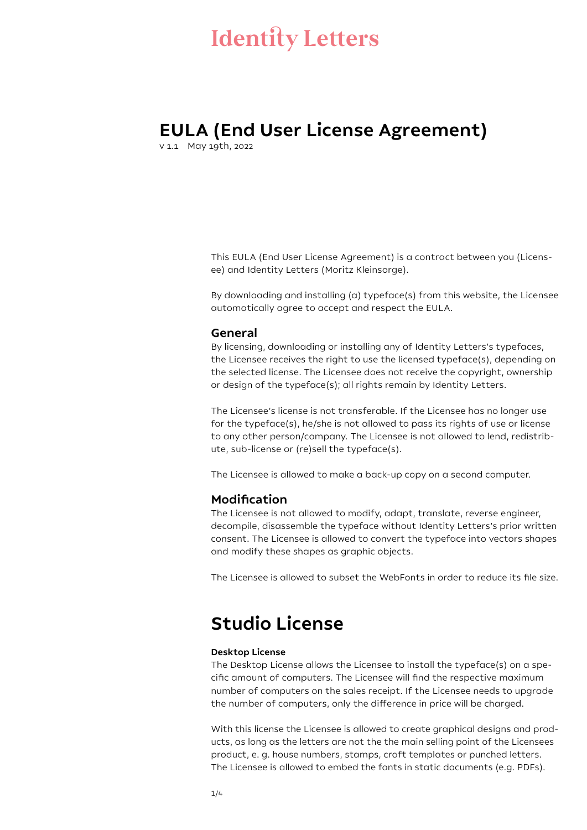# **EULA (End User License Agreement)**

v 1.1 May 19th, 2022

This EULA (End User License Agreement) is a contract between you (Licensee) and Identity Letters (Moritz Kleinsorge).

By downloading and installing (a) typeface(s) from this website, the Licensee automatically agree to accept and respect the EULA.

#### **General**

By licensing, downloading or installing any of Identity Letters's typefaces, the Licensee receives the right to use the licensed typeface(s), depending on the selected license. The Licensee does not receive the copyright, ownership or design of the typeface(s); all rights remain by Identity Letters.

The Licensee's license is not transferable. If the Licensee has no longer use for the typeface(s), he/she is not allowed to pass its rights of use or license to any other person/company. The Licensee is not allowed to lend, redistribute, sub-license or (re)sell the typeface(s).

The Licensee is allowed to make a back-up copy on a second computer.

## **Modification**

The Licensee is not allowed to modify, adapt, translate, reverse engineer, decompile, disassemble the typeface without Identity Letters's prior written consent. The Licensee is allowed to convert the typeface into vectors shapes and modify these shapes as graphic objects.

The Licensee is allowed to subset the WebFonts in order to reduce its file size.

# **Studio License**

### **Desktop License**

The Desktop License allows the Licensee to install the typeface(s) on a specific amount of computers. The Licensee will find the respective maximum number of computers on the sales receipt. If the Licensee needs to upgrade the number of computers, only the difference in price will be charged.

With this license the Licensee is allowed to create graphical designs and products, as long as the letters are not the the main selling point of the Licensees product, e. g. house numbers, stamps, craft templates or punched letters. The Licensee is allowed to embed the fonts in static documents (e.g. PDFs).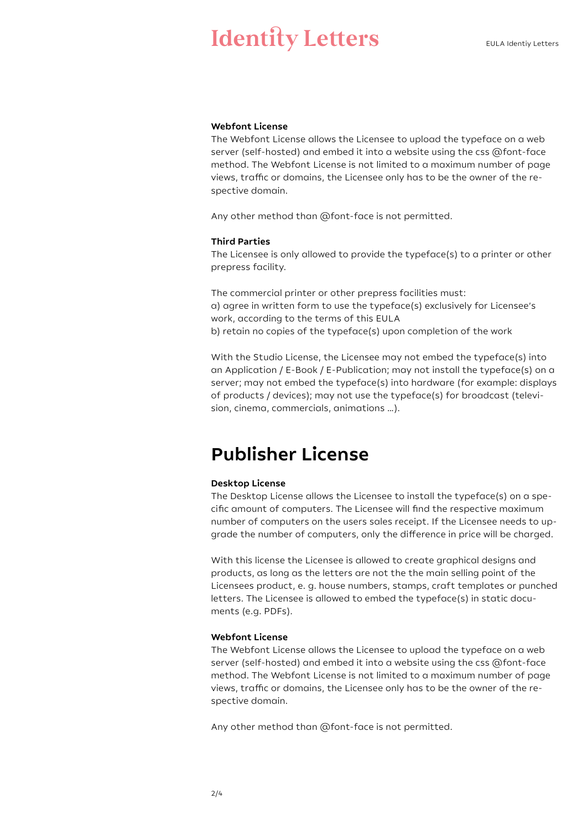### **Webfont License**

The Webfont License allows the Licensee to upload the typeface on a web server (self-hosted) and embed it into a website using the css @font-face method. The Webfont License is not limited to a maximum number of page views, traffic or domains, the Licensee only has to be the owner of the respective domain.

Any other method than @font-face is not permitted.

#### **Third Parties**

The Licensee is only allowed to provide the typeface(s) to a printer or other prepress facility.

The commercial printer or other prepress facilities must: a) agree in written form to use the typeface(s) exclusively for Licensee's work, according to the terms of this EULA b) retain no copies of the typeface(s) upon completion of the work

With the Studio License, the Licensee may not embed the typeface(s) into an Application / E-Book / E-Publication; may not install the typeface(s) on a server; may not embed the typeface(s) into hardware (for example: displays of products / devices); may not use the typeface(s) for broadcast (television, cinema, commercials, animations …).

# **Publisher License**

#### **Desktop License**

The Desktop License allows the Licensee to install the typeface(s) on a specific amount of computers. The Licensee will find the respective maximum number of computers on the users sales receipt. If the Licensee needs to upgrade the number of computers, only the difference in price will be charged.

With this license the Licensee is allowed to create graphical designs and products, as long as the letters are not the the main selling point of the Licensees product, e. g. house numbers, stamps, craft templates or punched letters. The Licensee is allowed to embed the typeface(s) in static documents (e.g. PDFs).

#### **Webfont License**

The Webfont License allows the Licensee to upload the typeface on a web server (self-hosted) and embed it into a website using the css @font-face method. The Webfont License is not limited to a maximum number of page views, traffic or domains, the Licensee only has to be the owner of the respective domain.

Any other method than @font-face is not permitted.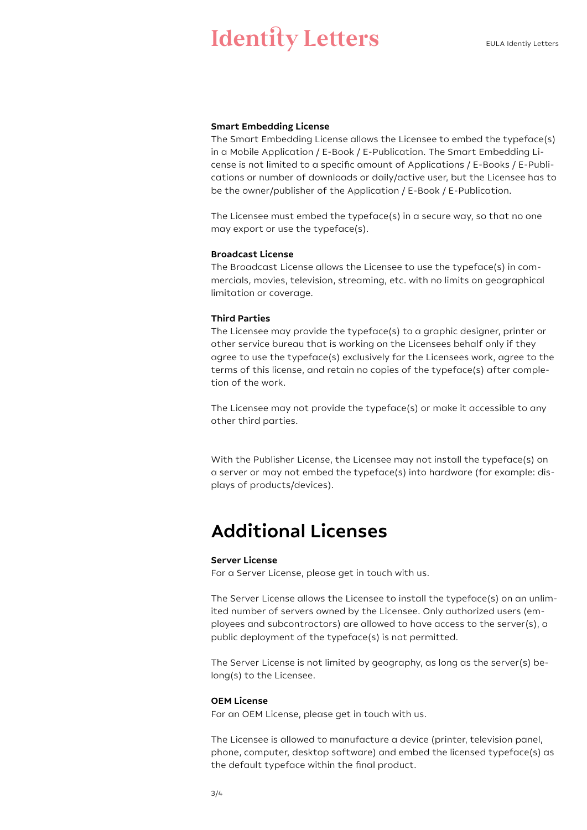#### **Smart Embedding License**

The Smart Embedding License allows the Licensee to embed the typeface(s) in a Mobile Application / E-Book / E-Publication. The Smart Embedding License is not limited to a specific amount of Applications / E-Books / E-Publications or number of downloads or daily/active user, but the Licensee has to be the owner/publisher of the Application / E-Book / E-Publication.

The Licensee must embed the typeface(s) in a secure way, so that no one may export or use the typeface(s).

#### **Broadcast License**

The Broadcast License allows the Licensee to use the typeface(s) in commercials, movies, television, streaming, etc. with no limits on geographical limitation or coverage.

#### **Third Parties**

The Licensee may provide the typeface(s) to a graphic designer, printer or other service bureau that is working on the Licensees behalf only if they agree to use the typeface(s) exclusively for the Licensees work, agree to the terms of this license, and retain no copies of the typeface(s) after completion of the work.

The Licensee may not provide the typeface(s) or make it accessible to any other third parties.

With the Publisher License, the Licensee may not install the typeface(s) on a server or may not embed the typeface(s) into hardware (for example: displays of products/devices).

# **Additional Licenses**

#### **Server License**

For a Server License, please get in touch with us.

The Server License allows the Licensee to install the typeface(s) on an unlimited number of servers owned by the Licensee. Only authorized users (employees and subcontractors) are allowed to have access to the server(s), a public deployment of the typeface(s) is not permitted.

The Server License is not limited by geography, as long as the server(s) belong(s) to the Licensee.

#### **OEM License**

For an OEM License, please get in touch with us.

The Licensee is allowed to manufacture a device (printer, television panel, phone, computer, desktop software) and embed the licensed typeface(s) as the default typeface within the final product.